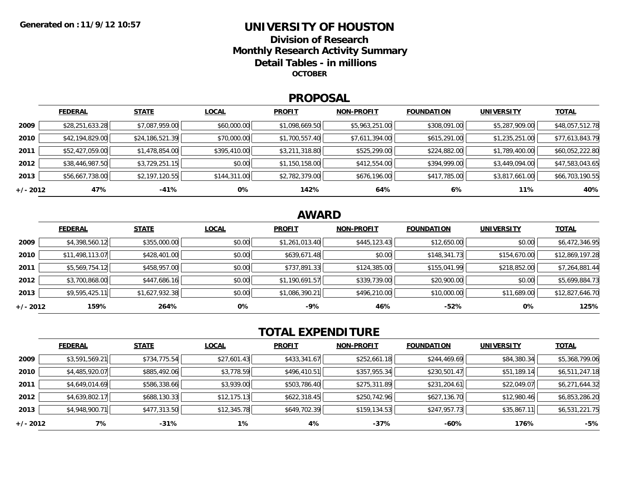### **UNIVERSITY OF HOUSTONDivision of ResearchMonthly Research Activity Summary Detail Tables - in millions OCTOBER**

#### **PROPOSAL**

|            | <b>FEDERAL</b>  | <b>STATE</b>    | <b>LOCAL</b> | <b>PROFIT</b>  | <b>NON-PROFIT</b> | <b>FOUNDATION</b> | UNIVERSITY     | <b>TOTAL</b>    |
|------------|-----------------|-----------------|--------------|----------------|-------------------|-------------------|----------------|-----------------|
| 2009       | \$28,251,633.28 | \$7,087,959.00  | \$60,000.00  | \$1,098,669.50 | \$5,963,251.00    | \$308,091.00      | \$5,287,909.00 | \$48,057,512.78 |
| 2010       | \$42,194,829.00 | \$24,186,521.39 | \$70,000.00  | \$1,700,557.40 | \$7,611,394.00    | \$615,291.00      | \$1,235,251.00 | \$77,613,843.79 |
| 2011       | \$52,427,059.00 | \$1,478,854.00  | \$395,410.00 | \$3,211,318.80 | \$525,299.00      | \$224,882.00      | \$1,789,400.00 | \$60,052,222.80 |
| 2012       | \$38,446,987.50 | \$3,729,251.15  | \$0.00       | \$1,150,158.00 | \$412,554.00      | \$394,999.00      | \$3,449,094.00 | \$47,583,043.65 |
| 2013       | \$56,667,738.00 | \$2,197,120.55  | \$144,311.00 | \$2,782,379.00 | \$676,196.00      | \$417,785.00      | \$3,817,661.00 | \$66,703,190.55 |
| $+/- 2012$ | 47%             | -41%            | 0%           | 142%           | 64%               | 6%                | 11%            | 40%             |

## **AWARD**

|            | <b>FEDERAL</b>  | <b>STATE</b>   | <b>LOCAL</b> | <b>PROFIT</b>  | <b>NON-PROFIT</b> | <b>FOUNDATION</b> | <b>UNIVERSITY</b> | <b>TOTAL</b>    |
|------------|-----------------|----------------|--------------|----------------|-------------------|-------------------|-------------------|-----------------|
| 2009       | \$4,398,560.12  | \$355,000.00   | \$0.00       | \$1,261,013.40 | \$445,123.43      | \$12,650.00       | \$0.00            | \$6,472,346.95  |
| 2010       | \$11,498,113.07 | \$428,401.00   | \$0.00       | \$639,671.48   | \$0.00            | \$148,341.73      | \$154,670.00      | \$12,869,197.28 |
| 2011       | \$5,569,754.12  | \$458,957.00   | \$0.00       | \$737,891.33   | \$124,385.00      | \$155,041.99      | \$218,852.00      | \$7,264,881.44  |
| 2012       | \$3,700,868.00  | \$447,686.16   | \$0.00       | \$1,190,691.57 | \$339,739.00      | \$20,900.00       | \$0.00            | \$5,699,884.73  |
| 2013       | \$9,595,425.11  | \$1,627,932.38 | \$0.00       | \$1,086,390.21 | \$496,210.00      | \$10,000.00       | \$11,689.00       | \$12,827,646.70 |
| $+/- 2012$ | 159%            | 264%           | 0%           | -9%            | 46%               | $-52%$            | 0%                | 125%            |

# **TOTAL EXPENDITURE**

|          | <b>FEDERAL</b> | <b>STATE</b> | <b>LOCAL</b> | <b>PROFIT</b> | <b>NON-PROFIT</b> | <b>FOUNDATION</b> | <b>UNIVERSITY</b> | <b>TOTAL</b>   |
|----------|----------------|--------------|--------------|---------------|-------------------|-------------------|-------------------|----------------|
| 2009     | \$3,591,569.21 | \$734,775.54 | \$27,601.43  | \$433,341.67  | \$252,661.18      | \$244,469.69      | \$84,380.34       | \$5,368,799.06 |
| 2010     | \$4,485,920.07 | \$885,492.06 | \$3,778.59   | \$496,410.51  | \$357,955.34      | \$230,501.47      | \$51,189.14       | \$6,511,247.18 |
| 2011     | \$4,649,014.69 | \$586,338.66 | \$3,939.00   | \$503,786.40  | \$275,311.89      | \$231,204.61      | \$22,049.07       | \$6,271,644.32 |
| 2012     | \$4,639,802.17 | \$688,130.33 | \$12,175.13  | \$622,318.45  | \$250,742.96      | \$627,136.70      | \$12,980.46       | \$6,853,286.20 |
| 2013     | \$4,948,900.71 | \$477,313.50 | \$12,345.78  | \$649,702.39  | \$159,134.53      | \$247,957.73      | \$35,867.11       | \$6,531,221.75 |
| +/- 2012 | 7%             | $-31%$       | 1%           | 4%            | $-37%$            | -60%              | 176%              | $-5%$          |